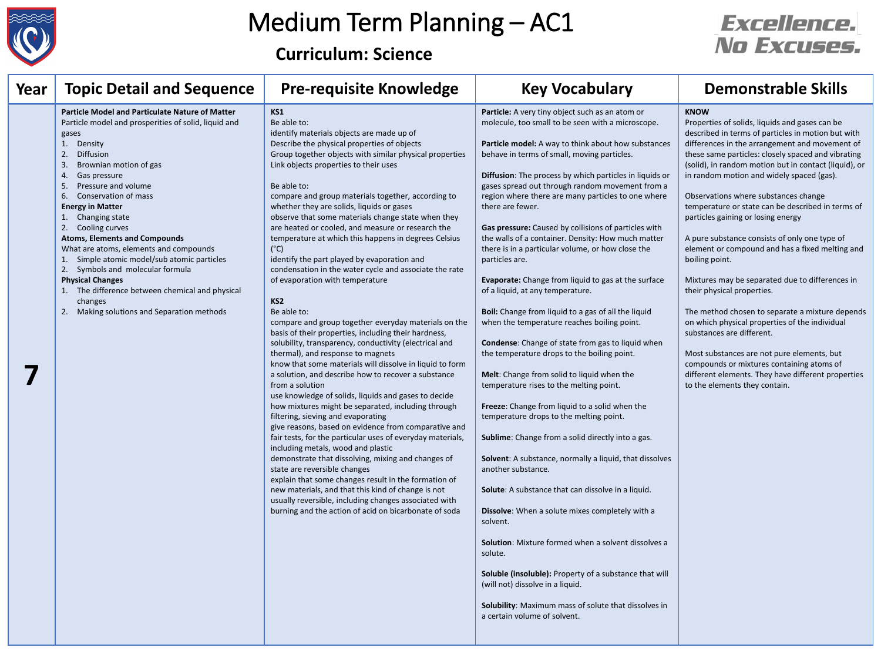

**Curriculum: Science**

| Year | <b>Topic Detail and Sequence</b>                                                                                                                                                                                                                                                                                                                                                                                                                                                                                                                                                                                                            | <b>Pre-requisite Knowledge</b>                                                                                                                                                                                                                                                                                                                                                                                                                                                                                                                                                                                                                                                                                                                                                                                                                                                                                                                                                                                                                                                                                                                                                                                                                                                                                                                                                                                                                                                                                                                                                                                                                                                                    | <b>Key Vocabulary</b>                                                                                                                                                                                                                                                                                                                                                                                                                                                                                                                                                                                                                                                                                                                                                                                                                                                                                                                                                                                                                                                                                                                                                                                                                                                                                                                                                                                                                                                                                                                                                                                        | <b>Demonstrable Skills</b>                                                                                                                                                                                                                                                                                                                                                                                                                                                                                                                                                                                                                                                                                                                                                                                                                                                                                                                                                                      |
|------|---------------------------------------------------------------------------------------------------------------------------------------------------------------------------------------------------------------------------------------------------------------------------------------------------------------------------------------------------------------------------------------------------------------------------------------------------------------------------------------------------------------------------------------------------------------------------------------------------------------------------------------------|---------------------------------------------------------------------------------------------------------------------------------------------------------------------------------------------------------------------------------------------------------------------------------------------------------------------------------------------------------------------------------------------------------------------------------------------------------------------------------------------------------------------------------------------------------------------------------------------------------------------------------------------------------------------------------------------------------------------------------------------------------------------------------------------------------------------------------------------------------------------------------------------------------------------------------------------------------------------------------------------------------------------------------------------------------------------------------------------------------------------------------------------------------------------------------------------------------------------------------------------------------------------------------------------------------------------------------------------------------------------------------------------------------------------------------------------------------------------------------------------------------------------------------------------------------------------------------------------------------------------------------------------------------------------------------------------------|--------------------------------------------------------------------------------------------------------------------------------------------------------------------------------------------------------------------------------------------------------------------------------------------------------------------------------------------------------------------------------------------------------------------------------------------------------------------------------------------------------------------------------------------------------------------------------------------------------------------------------------------------------------------------------------------------------------------------------------------------------------------------------------------------------------------------------------------------------------------------------------------------------------------------------------------------------------------------------------------------------------------------------------------------------------------------------------------------------------------------------------------------------------------------------------------------------------------------------------------------------------------------------------------------------------------------------------------------------------------------------------------------------------------------------------------------------------------------------------------------------------------------------------------------------------------------------------------------------------|-------------------------------------------------------------------------------------------------------------------------------------------------------------------------------------------------------------------------------------------------------------------------------------------------------------------------------------------------------------------------------------------------------------------------------------------------------------------------------------------------------------------------------------------------------------------------------------------------------------------------------------------------------------------------------------------------------------------------------------------------------------------------------------------------------------------------------------------------------------------------------------------------------------------------------------------------------------------------------------------------|
|      | <b>Particle Model and Particulate Nature of Matter</b><br>Particle model and prosperities of solid, liquid and<br>gases<br>1. Density<br>Diffusion<br>2.<br>3.<br>Brownian motion of gas<br>Gas pressure<br>4.<br>Pressure and volume<br>5.<br>Conservation of mass<br>6.<br><b>Energy in Matter</b><br>Changing state<br>Cooling curves<br><b>Atoms, Elements and Compounds</b><br>What are atoms, elements and compounds<br>Simple atomic model/sub atomic particles<br>2. Symbols and molecular formula<br><b>Physical Changes</b><br>The difference between chemical and physical<br>changes<br>Making solutions and Separation methods | KS1<br>Be able to:<br>identify materials objects are made up of<br>Describe the physical properties of objects<br>Group together objects with similar physical properties<br>Link objects properties to their uses<br>Be able to:<br>compare and group materials together, according to<br>whether they are solids, liquids or gases<br>observe that some materials change state when they<br>are heated or cooled, and measure or research the<br>temperature at which this happens in degrees Celsius<br>$(^{\circ}C)$<br>identify the part played by evaporation and<br>condensation in the water cycle and associate the rate<br>of evaporation with temperature<br>KS <sub>2</sub><br>Be able to:<br>compare and group together everyday materials on the<br>basis of their properties, including their hardness,<br>solubility, transparency, conductivity (electrical and<br>thermal), and response to magnets<br>know that some materials will dissolve in liquid to form<br>a solution, and describe how to recover a substance<br>from a solution<br>use knowledge of solids, liquids and gases to decide<br>how mixtures might be separated, including through<br>filtering, sieving and evaporating<br>give reasons, based on evidence from comparative and<br>fair tests, for the particular uses of everyday materials,<br>including metals, wood and plastic<br>demonstrate that dissolving, mixing and changes of<br>state are reversible changes<br>explain that some changes result in the formation of<br>new materials, and that this kind of change is not<br>usually reversible, including changes associated with<br>burning and the action of acid on bicarbonate of soda | Particle: A very tiny object such as an atom or<br>molecule, too small to be seen with a microscope.<br>Particle model: A way to think about how substances<br>behave in terms of small, moving particles.<br>Diffusion: The process by which particles in liquids or<br>gases spread out through random movement from a<br>region where there are many particles to one where<br>there are fewer.<br>Gas pressure: Caused by collisions of particles with<br>the walls of a container. Density: How much matter<br>there is in a particular volume, or how close the<br>particles are.<br>Evaporate: Change from liquid to gas at the surface<br>of a liquid, at any temperature.<br><b>Boil:</b> Change from liquid to a gas of all the liquid<br>when the temperature reaches boiling point.<br>Condense: Change of state from gas to liquid when<br>the temperature drops to the boiling point.<br>Melt: Change from solid to liquid when the<br>temperature rises to the melting point.<br>Freeze: Change from liquid to a solid when the<br>temperature drops to the melting point.<br>Sublime: Change from a solid directly into a gas.<br>Solvent: A substance, normally a liquid, that dissolves<br>another substance.<br>Solute: A substance that can dissolve in a liquid.<br>Dissolve: When a solute mixes completely with a<br>solvent.<br>Solution: Mixture formed when a solvent dissolves a<br>solute.<br>Soluble (insoluble): Property of a substance that will<br>(will not) dissolve in a liquid.<br>Solubility: Maximum mass of solute that dissolves in<br>a certain volume of solvent. | <b>KNOW</b><br>Properties of solids, liquids and gases can be<br>described in terms of particles in motion but with<br>differences in the arrangement and movement of<br>these same particles: closely spaced and vibrating<br>(solid), in random motion but in contact (liquid), or<br>in random motion and widely spaced (gas).<br>Observations where substances change<br>temperature or state can be described in terms of<br>particles gaining or losing energy<br>A pure substance consists of only one type of<br>element or compound and has a fixed melting and<br>boiling point.<br>Mixtures may be separated due to differences in<br>their physical properties.<br>The method chosen to separate a mixture depends<br>on which physical properties of the individual<br>substances are different.<br>Most substances are not pure elements, but<br>compounds or mixtures containing atoms of<br>different elements. They have different properties<br>to the elements they contain. |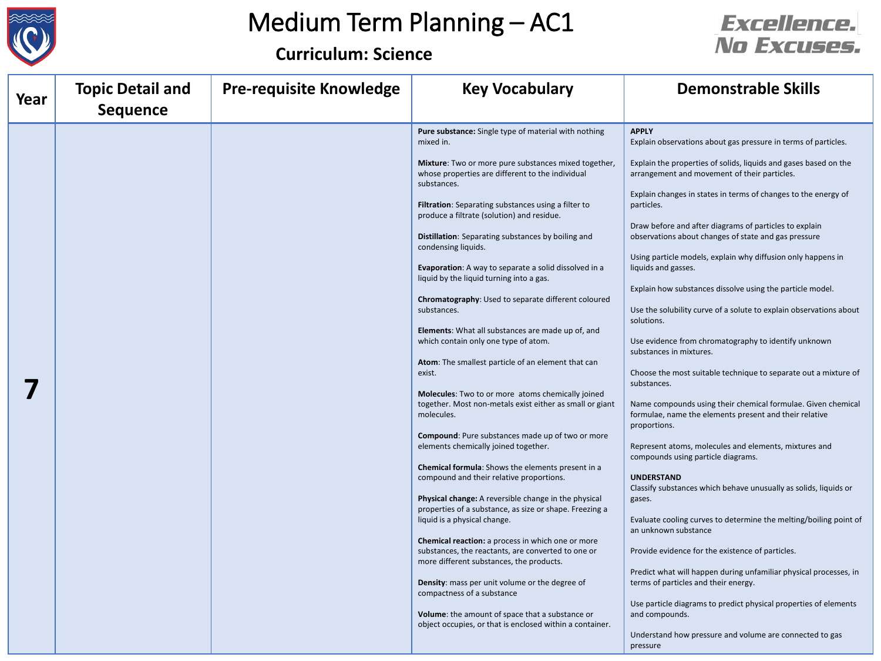

#### **Curriculum: Science**



| Year | <b>Topic Detail and</b><br><b>Sequence</b> | <b>Pre-requisite Knowledge</b> | <b>Key Vocabulary</b>                                                                                                                           | <b>Demonstrable Skills</b>                                                                                                             |
|------|--------------------------------------------|--------------------------------|-------------------------------------------------------------------------------------------------------------------------------------------------|----------------------------------------------------------------------------------------------------------------------------------------|
|      |                                            |                                | Pure substance: Single type of material with nothing<br>mixed in.                                                                               | <b>APPLY</b><br>Explain observations about gas pressure in terms of particles.                                                         |
|      |                                            |                                | Mixture: Two or more pure substances mixed together,<br>whose properties are different to the individual<br>substances.                         | Explain the properties of solids, liquids and gases based on the<br>arrangement and movement of their particles.                       |
|      |                                            |                                | Filtration: Separating substances using a filter to<br>produce a filtrate (solution) and residue.                                               | Explain changes in states in terms of changes to the energy of<br>particles.                                                           |
|      |                                            |                                | Distillation: Separating substances by boiling and<br>condensing liquids.                                                                       | Draw before and after diagrams of particles to explain<br>observations about changes of state and gas pressure                         |
|      |                                            |                                | Evaporation: A way to separate a solid dissolved in a<br>liquid by the liquid turning into a gas.                                               | Using particle models, explain why diffusion only happens in<br>liquids and gasses.                                                    |
|      |                                            |                                | Chromatography: Used to separate different coloured<br>substances.                                                                              | Explain how substances dissolve using the particle model.<br>Use the solubility curve of a solute to explain observations about        |
|      |                                            |                                | Elements: What all substances are made up of, and<br>which contain only one type of atom.                                                       | solutions.<br>Use evidence from chromatography to identify unknown<br>substances in mixtures.                                          |
|      |                                            |                                | Atom: The smallest particle of an element that can<br>exist.                                                                                    | Choose the most suitable technique to separate out a mixture of<br>substances.                                                         |
|      |                                            |                                | Molecules: Two to or more atoms chemically joined<br>together. Most non-metals exist either as small or giant<br>molecules.                     | Name compounds using their chemical formulae. Given chemical<br>formulae, name the elements present and their relative<br>proportions. |
|      |                                            |                                | Compound: Pure substances made up of two or more<br>elements chemically joined together.                                                        | Represent atoms, molecules and elements, mixtures and<br>compounds using particle diagrams.                                            |
|      |                                            |                                | Chemical formula: Shows the elements present in a<br>compound and their relative proportions.                                                   | <b>UNDERSTAND</b><br>Classify substances which behave unusually as solids, liquids or                                                  |
|      |                                            |                                | Physical change: A reversible change in the physical<br>properties of a substance, as size or shape. Freezing a<br>liquid is a physical change. | gases.<br>Evaluate cooling curves to determine the melting/boiling point of                                                            |
|      |                                            |                                | Chemical reaction: a process in which one or more<br>substances, the reactants, are converted to one or                                         | an unknown substance<br>Provide evidence for the existence of particles.                                                               |
|      |                                            |                                | more different substances, the products.<br>Density: mass per unit volume or the degree of                                                      | Predict what will happen during unfamiliar physical processes, in<br>terms of particles and their energy.                              |
|      |                                            |                                | compactness of a substance<br>Volume: the amount of space that a substance or<br>object occupies, or that is enclosed within a container.       | Use particle diagrams to predict physical properties of elements<br>and compounds.                                                     |
|      |                                            |                                |                                                                                                                                                 | Understand how pressure and volume are connected to gas<br>pressure                                                                    |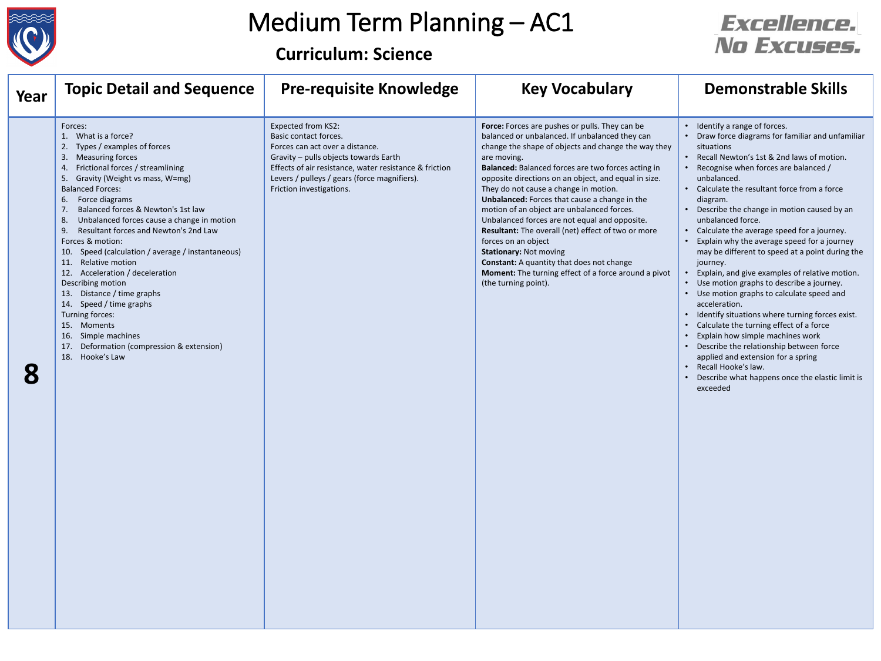

**Curriculum: Science**

| Year | <b>Topic Detail and Sequence</b>                                                                                                                                                                                                                                                                                                                                                                                                                                                                                                                                                                                                                                                                                                                  | <b>Pre-requisite Knowledge</b>                                                                                                                                                                                                                                | <b>Key Vocabulary</b>                                                                                                                                                                                                                                                                                                                                                                                                                                                                                                                                                                                                                                                                                                           | <b>Demonstrable Skills</b>                                                                                                                                                                                                                                                                                                                                                                                                                                                                                                                                                                                                                                                                                                                                                                                                                                                                                                                                                                     |
|------|---------------------------------------------------------------------------------------------------------------------------------------------------------------------------------------------------------------------------------------------------------------------------------------------------------------------------------------------------------------------------------------------------------------------------------------------------------------------------------------------------------------------------------------------------------------------------------------------------------------------------------------------------------------------------------------------------------------------------------------------------|---------------------------------------------------------------------------------------------------------------------------------------------------------------------------------------------------------------------------------------------------------------|---------------------------------------------------------------------------------------------------------------------------------------------------------------------------------------------------------------------------------------------------------------------------------------------------------------------------------------------------------------------------------------------------------------------------------------------------------------------------------------------------------------------------------------------------------------------------------------------------------------------------------------------------------------------------------------------------------------------------------|------------------------------------------------------------------------------------------------------------------------------------------------------------------------------------------------------------------------------------------------------------------------------------------------------------------------------------------------------------------------------------------------------------------------------------------------------------------------------------------------------------------------------------------------------------------------------------------------------------------------------------------------------------------------------------------------------------------------------------------------------------------------------------------------------------------------------------------------------------------------------------------------------------------------------------------------------------------------------------------------|
| 8    | Forces:<br>1. What is a force?<br>Types / examples of forces<br>2.<br><b>Measuring forces</b><br>-3.<br>Frictional forces / streamlining<br>4.<br>Gravity (Weight vs mass, W=mg)<br>-5.<br><b>Balanced Forces:</b><br>Force diagrams<br>6.<br>Balanced forces & Newton's 1st law<br>7 <sub>1</sub><br>Unbalanced forces cause a change in motion<br>-8.<br>Resultant forces and Newton's 2nd Law<br>-9.<br>Forces & motion:<br>10. Speed (calculation / average / instantaneous)<br>11. Relative motion<br>12. Acceleration / deceleration<br>Describing motion<br>13. Distance / time graphs<br>14. Speed / time graphs<br>Turning forces:<br>15. Moments<br>16. Simple machines<br>17. Deformation (compression & extension)<br>18. Hooke's Law | Expected from KS2:<br>Basic contact forces.<br>Forces can act over a distance.<br>Gravity - pulls objects towards Earth<br>Effects of air resistance, water resistance & friction<br>Levers / pulleys / gears (force magnifiers).<br>Friction investigations. | Force: Forces are pushes or pulls. They can be<br>balanced or unbalanced. If unbalanced they can<br>change the shape of objects and change the way they<br>are moving.<br>Balanced: Balanced forces are two forces acting in<br>opposite directions on an object, and equal in size.<br>They do not cause a change in motion.<br>Unbalanced: Forces that cause a change in the<br>motion of an object are unbalanced forces.<br>Unbalanced forces are not equal and opposite.<br>Resultant: The overall (net) effect of two or more<br>forces on an object<br><b>Stationary: Not moving</b><br><b>Constant:</b> A quantity that does not change<br>Moment: The turning effect of a force around a pivot<br>(the turning point). | • Identify a range of forces.<br>• Draw force diagrams for familiar and unfamiliar<br>situations<br>Recall Newton's 1st & 2nd laws of motion.<br>$\bullet$<br>Recognise when forces are balanced /<br>unbalanced.<br>• Calculate the resultant force from a force<br>diagram.<br>• Describe the change in motion caused by an<br>unbalanced force.<br>• Calculate the average speed for a journey.<br>Explain why the average speed for a journey<br>may be different to speed at a point during the<br>journey.<br>Explain, and give examples of relative motion.<br>• Use motion graphs to describe a journey.<br>• Use motion graphs to calculate speed and<br>acceleration.<br>• Identify situations where turning forces exist.<br>• Calculate the turning effect of a force<br>Explain how simple machines work<br>• Describe the relationship between force<br>applied and extension for a spring<br>Recall Hooke's law.<br>Describe what happens once the elastic limit is<br>exceeded |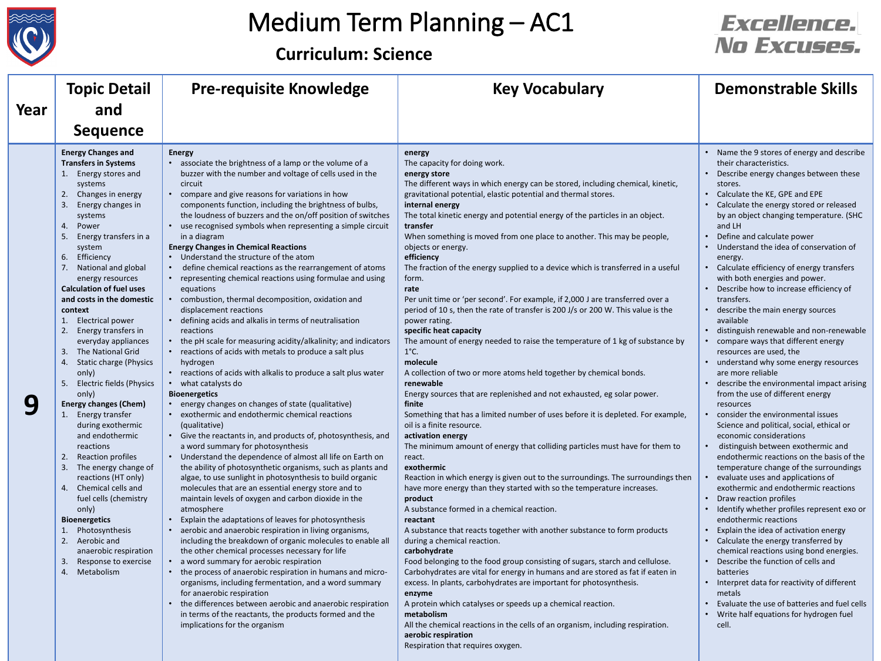

J.

I.

# Medium Term Planning – AC1

## **Curriculum: Science**

|      | <b>Topic Detail</b>                                                                                                                                                                                                                                                                                                                                                                                                                                                                                                                                                                                                                                                                                                                                                                                                                                                                                                                          | <b>Pre-requisite Knowledge</b>                                                                                                                                                                                                                                                                                                                                                                                                                                                                                                                                                                                                                                                                                                                                                                                                                                                                                                                                                                                                                                                                                                                                                                                                                                                                                                                                                                                                                                                                                                                                                                                                                                                                                                                                                                                                                                                                                                                                                                                                                                                                                                                                                                                                  | <b>Key Vocabulary</b>                                                                                                                                                                                                                                                                                                                                                                                                                                                                                                                                                                                                                                                                                                                                                                                                                                                                                                                                                                                                                                                                                                                                                                                                                                                                                                                                                                                                                                                                                                                                                                                                                                                                                                                                                                                                                                                                                                                                                                                                                                                                                                                   | <b>Demonstrable Skills</b>                                                                                                                                                                                                                                                                                                                                                                                                                                                                                                                                                                                                                                                                                                                                                                                                                                                                                                                                                                                                                                                                                                                                                                                                                                                                                                                                                                                                                                                                                                                                                                                 |
|------|----------------------------------------------------------------------------------------------------------------------------------------------------------------------------------------------------------------------------------------------------------------------------------------------------------------------------------------------------------------------------------------------------------------------------------------------------------------------------------------------------------------------------------------------------------------------------------------------------------------------------------------------------------------------------------------------------------------------------------------------------------------------------------------------------------------------------------------------------------------------------------------------------------------------------------------------|---------------------------------------------------------------------------------------------------------------------------------------------------------------------------------------------------------------------------------------------------------------------------------------------------------------------------------------------------------------------------------------------------------------------------------------------------------------------------------------------------------------------------------------------------------------------------------------------------------------------------------------------------------------------------------------------------------------------------------------------------------------------------------------------------------------------------------------------------------------------------------------------------------------------------------------------------------------------------------------------------------------------------------------------------------------------------------------------------------------------------------------------------------------------------------------------------------------------------------------------------------------------------------------------------------------------------------------------------------------------------------------------------------------------------------------------------------------------------------------------------------------------------------------------------------------------------------------------------------------------------------------------------------------------------------------------------------------------------------------------------------------------------------------------------------------------------------------------------------------------------------------------------------------------------------------------------------------------------------------------------------------------------------------------------------------------------------------------------------------------------------------------------------------------------------------------------------------------------------|-----------------------------------------------------------------------------------------------------------------------------------------------------------------------------------------------------------------------------------------------------------------------------------------------------------------------------------------------------------------------------------------------------------------------------------------------------------------------------------------------------------------------------------------------------------------------------------------------------------------------------------------------------------------------------------------------------------------------------------------------------------------------------------------------------------------------------------------------------------------------------------------------------------------------------------------------------------------------------------------------------------------------------------------------------------------------------------------------------------------------------------------------------------------------------------------------------------------------------------------------------------------------------------------------------------------------------------------------------------------------------------------------------------------------------------------------------------------------------------------------------------------------------------------------------------------------------------------------------------------------------------------------------------------------------------------------------------------------------------------------------------------------------------------------------------------------------------------------------------------------------------------------------------------------------------------------------------------------------------------------------------------------------------------------------------------------------------------------------------------------------------------|------------------------------------------------------------------------------------------------------------------------------------------------------------------------------------------------------------------------------------------------------------------------------------------------------------------------------------------------------------------------------------------------------------------------------------------------------------------------------------------------------------------------------------------------------------------------------------------------------------------------------------------------------------------------------------------------------------------------------------------------------------------------------------------------------------------------------------------------------------------------------------------------------------------------------------------------------------------------------------------------------------------------------------------------------------------------------------------------------------------------------------------------------------------------------------------------------------------------------------------------------------------------------------------------------------------------------------------------------------------------------------------------------------------------------------------------------------------------------------------------------------------------------------------------------------------------------------------------------------|
| Year | and                                                                                                                                                                                                                                                                                                                                                                                                                                                                                                                                                                                                                                                                                                                                                                                                                                                                                                                                          |                                                                                                                                                                                                                                                                                                                                                                                                                                                                                                                                                                                                                                                                                                                                                                                                                                                                                                                                                                                                                                                                                                                                                                                                                                                                                                                                                                                                                                                                                                                                                                                                                                                                                                                                                                                                                                                                                                                                                                                                                                                                                                                                                                                                                                 |                                                                                                                                                                                                                                                                                                                                                                                                                                                                                                                                                                                                                                                                                                                                                                                                                                                                                                                                                                                                                                                                                                                                                                                                                                                                                                                                                                                                                                                                                                                                                                                                                                                                                                                                                                                                                                                                                                                                                                                                                                                                                                                                         |                                                                                                                                                                                                                                                                                                                                                                                                                                                                                                                                                                                                                                                                                                                                                                                                                                                                                                                                                                                                                                                                                                                                                                                                                                                                                                                                                                                                                                                                                                                                                                                                            |
|      | <b>Sequence</b>                                                                                                                                                                                                                                                                                                                                                                                                                                                                                                                                                                                                                                                                                                                                                                                                                                                                                                                              |                                                                                                                                                                                                                                                                                                                                                                                                                                                                                                                                                                                                                                                                                                                                                                                                                                                                                                                                                                                                                                                                                                                                                                                                                                                                                                                                                                                                                                                                                                                                                                                                                                                                                                                                                                                                                                                                                                                                                                                                                                                                                                                                                                                                                                 |                                                                                                                                                                                                                                                                                                                                                                                                                                                                                                                                                                                                                                                                                                                                                                                                                                                                                                                                                                                                                                                                                                                                                                                                                                                                                                                                                                                                                                                                                                                                                                                                                                                                                                                                                                                                                                                                                                                                                                                                                                                                                                                                         |                                                                                                                                                                                                                                                                                                                                                                                                                                                                                                                                                                                                                                                                                                                                                                                                                                                                                                                                                                                                                                                                                                                                                                                                                                                                                                                                                                                                                                                                                                                                                                                                            |
| 9    | <b>Energy Changes and</b><br><b>Transfers in Systems</b><br>1. Energy stores and<br>systems<br>Changes in energy<br>2.<br>3. Energy changes in<br>systems<br>Power<br>4.<br>Energy transfers in a<br>5.<br>system<br>Efficiency<br>6.<br>National and global<br>7.<br>energy resources<br><b>Calculation of fuel uses</b><br>and costs in the domestic<br>context<br>1. Electrical power<br>2. Energy transfers in<br>everyday appliances<br>The National Grid<br>3.<br>4. Static charge (Physics<br>only)<br>5. Electric fields (Physics<br>only)<br><b>Energy changes (Chem)</b><br>Energy transfer<br>during exothermic<br>and endothermic<br>reactions<br>2. Reaction profiles<br>3. The energy change of<br>reactions (HT only)<br>Chemical cells and<br>4.<br>fuel cells (chemistry<br>only)<br><b>Bioenergetics</b><br>1. Photosynthesis<br>2. Aerobic and<br>anaerobic respiration<br>Response to exercise<br>3.<br>Metabolism<br>4. | <b>Energy</b><br>• associate the brightness of a lamp or the volume of a<br>buzzer with the number and voltage of cells used in the<br>circuit<br>compare and give reasons for variations in how<br>components function, including the brightness of bulbs,<br>the loudness of buzzers and the on/off position of switches<br>• use recognised symbols when representing a simple circuit<br>in a diagram<br><b>Energy Changes in Chemical Reactions</b><br>• Understand the structure of the atom<br>define chemical reactions as the rearrangement of atoms<br>$\bullet$<br>• representing chemical reactions using formulae and using<br>equations<br>combustion, thermal decomposition, oxidation and<br>displacement reactions<br>defining acids and alkalis in terms of neutralisation<br>reactions<br>• the pH scale for measuring acidity/alkalinity; and indicators<br>• reactions of acids with metals to produce a salt plus<br>hydrogen<br>• reactions of acids with alkalis to produce a salt plus water<br>what catalysts do<br><b>Bioenergetics</b><br>• energy changes on changes of state (qualitative)<br>• exothermic and endothermic chemical reactions<br>(qualitative)<br>• Give the reactants in, and products of, photosynthesis, and<br>a word summary for photosynthesis<br>• Understand the dependence of almost all life on Earth on<br>the ability of photosynthetic organisms, such as plants and<br>algae, to use sunlight in photosynthesis to build organic<br>molecules that are an essential energy store and to<br>maintain levels of oxygen and carbon dioxide in the<br>atmosphere<br>Explain the adaptations of leaves for photosynthesis<br>aerobic and anaerobic respiration in living organisms,<br>including the breakdown of organic molecules to enable all<br>the other chemical processes necessary for life<br>a word summary for aerobic respiration<br>• the process of anaerobic respiration in humans and micro-<br>organisms, including fermentation, and a word summary<br>for anaerobic respiration<br>the differences between aerobic and anaerobic respiration<br>$\bullet$<br>in terms of the reactants, the products formed and the<br>implications for the organism | energy<br>The capacity for doing work.<br>energy store<br>The different ways in which energy can be stored, including chemical, kinetic,<br>gravitational potential, elastic potential and thermal stores.<br>internal energy<br>The total kinetic energy and potential energy of the particles in an object.<br>transfer<br>When something is moved from one place to another. This may be people,<br>objects or energy.<br>efficiency<br>The fraction of the energy supplied to a device which is transferred in a useful<br>form.<br>rate<br>Per unit time or 'per second'. For example, if 2,000 J are transferred over a<br>period of 10 s, then the rate of transfer is 200 J/s or 200 W. This value is the<br>power rating.<br>specific heat capacity<br>The amount of energy needed to raise the temperature of 1 kg of substance by<br>$1^{\circ}$ C.<br>molecule<br>A collection of two or more atoms held together by chemical bonds.<br>renewable<br>Energy sources that are replenished and not exhausted, eg solar power.<br>finite<br>Something that has a limited number of uses before it is depleted. For example,<br>oil is a finite resource.<br>activation energy<br>The minimum amount of energy that colliding particles must have for them to<br>react.<br>exothermic<br>Reaction in which energy is given out to the surroundings. The surroundings then<br>have more energy than they started with so the temperature increases.<br>product<br>A substance formed in a chemical reaction.<br>reactant<br>A substance that reacts together with another substance to form products<br>during a chemical reaction.<br>carbohydrate<br>Food belonging to the food group consisting of sugars, starch and cellulose.<br>Carbohydrates are vital for energy in humans and are stored as fat if eaten in<br>excess. In plants, carbohydrates are important for photosynthesis.<br>enzyme<br>A protein which catalyses or speeds up a chemical reaction.<br>metabolism<br>All the chemical reactions in the cells of an organism, including respiration.<br>aerobic respiration<br>Respiration that requires oxygen. | • Name the 9 stores of energy and describe<br>their characteristics.<br>Describe energy changes between these<br>stores.<br>Calculate the KE, GPE and EPE<br>Calculate the energy stored or released<br>by an object changing temperature. (SHC<br>and LH<br>Define and calculate power<br>• Understand the idea of conservation of<br>energy.<br>Calculate efficiency of energy transfers<br>with both energies and power.<br>Describe how to increase efficiency of<br>transfers.<br>describe the main energy sources<br>available<br>distinguish renewable and non-renewable<br>compare ways that different energy<br>resources are used, the<br>understand why some energy resources<br>are more reliable<br>describe the environmental impact arising<br>from the use of different energy<br>resources<br>consider the environmental issues<br>Science and political, social, ethical or<br>economic considerations<br>distinguish between exothermic and<br>$\bullet$<br>endothermic reactions on the basis of the<br>temperature change of the surroundings<br>evaluate uses and applications of<br>exothermic and endothermic reactions<br>Draw reaction profiles<br>$\bullet$<br>• Identify whether profiles represent exo or<br>endothermic reactions<br>Explain the idea of activation energy<br>Calculate the energy transferred by<br>chemical reactions using bond energies.<br>Describe the function of cells and<br>batteries<br>• Interpret data for reactivity of different<br>metals<br>Evaluate the use of batteries and fuel cells<br>Write half equations for hydrogen fuel<br>cell. |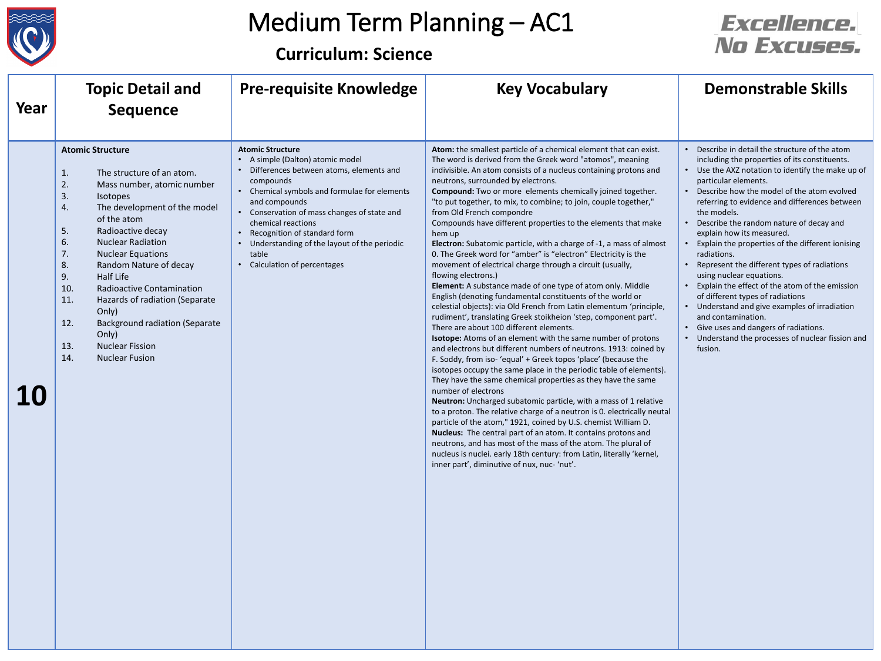

**Curriculum: Science**

| Year      | <b>Topic Detail and</b><br><b>Sequence</b>                                                                                                                                                                                                                                                                                                                                                                                                                                                                                              | <b>Pre-requisite Knowledge</b>                                                                                                                                                                                                                                                                                                                                                      | <b>Key Vocabulary</b>                                                                                                                                                                                                                                                                                                                                                                                                                                                                                                                                                                                                                                                                                                                                                                                                                                                                                                                                                                                                                                                                                                                                                                                                                                                                                                                                                                                                                                                                                                                                                                                                                                                                                                                                                                                                                                                          | <b>Demonstrable Skills</b>                                                                                                                                                                                                                                                                                                                                                                                                                                                                                                                                                                                                                                                                                                                                                                |
|-----------|-----------------------------------------------------------------------------------------------------------------------------------------------------------------------------------------------------------------------------------------------------------------------------------------------------------------------------------------------------------------------------------------------------------------------------------------------------------------------------------------------------------------------------------------|-------------------------------------------------------------------------------------------------------------------------------------------------------------------------------------------------------------------------------------------------------------------------------------------------------------------------------------------------------------------------------------|--------------------------------------------------------------------------------------------------------------------------------------------------------------------------------------------------------------------------------------------------------------------------------------------------------------------------------------------------------------------------------------------------------------------------------------------------------------------------------------------------------------------------------------------------------------------------------------------------------------------------------------------------------------------------------------------------------------------------------------------------------------------------------------------------------------------------------------------------------------------------------------------------------------------------------------------------------------------------------------------------------------------------------------------------------------------------------------------------------------------------------------------------------------------------------------------------------------------------------------------------------------------------------------------------------------------------------------------------------------------------------------------------------------------------------------------------------------------------------------------------------------------------------------------------------------------------------------------------------------------------------------------------------------------------------------------------------------------------------------------------------------------------------------------------------------------------------------------------------------------------------|-------------------------------------------------------------------------------------------------------------------------------------------------------------------------------------------------------------------------------------------------------------------------------------------------------------------------------------------------------------------------------------------------------------------------------------------------------------------------------------------------------------------------------------------------------------------------------------------------------------------------------------------------------------------------------------------------------------------------------------------------------------------------------------------|
| <b>10</b> | <b>Atomic Structure</b><br>1.<br>The structure of an atom.<br>2.<br>Mass number, atomic number<br>3.<br>Isotopes<br>4.<br>The development of the model<br>of the atom<br>5.<br>Radioactive decay<br>6.<br><b>Nuclear Radiation</b><br>7.<br><b>Nuclear Equations</b><br>8.<br>Random Nature of decay<br>9.<br>Half Life<br>10.<br>Radioactive Contamination<br>11.<br>Hazards of radiation (Separate<br>Only)<br>12.<br><b>Background radiation (Separate</b><br>Only)<br>13.<br><b>Nuclear Fission</b><br>14.<br><b>Nuclear Fusion</b> | <b>Atomic Structure</b><br>• A simple (Dalton) atomic model<br>• Differences between atoms, elements and<br>compounds<br>• Chemical symbols and formulae for elements<br>and compounds<br>• Conservation of mass changes of state and<br>chemical reactions<br>• Recognition of standard form<br>Understanding of the layout of the periodic<br>table<br>Calculation of percentages | Atom: the smallest particle of a chemical element that can exist.<br>The word is derived from the Greek word "atomos", meaning<br>indivisible. An atom consists of a nucleus containing protons and<br>neutrons, surrounded by electrons.<br>Compound: Two or more elements chemically joined together.<br>"to put together, to mix, to combine; to join, couple together,"<br>from Old French compondre<br>Compounds have different properties to the elements that make<br>hem up<br>Electron: Subatomic particle, with a charge of -1, a mass of almost<br>0. The Greek word for "amber" is "electron" Electricity is the<br>movement of electrical charge through a circuit (usually,<br>flowing electrons.)<br>Element: A substance made of one type of atom only. Middle<br>English (denoting fundamental constituents of the world or<br>celestial objects): via Old French from Latin elementum 'principle,<br>rudiment', translating Greek stoikheion 'step, component part'.<br>There are about 100 different elements.<br>Isotope: Atoms of an element with the same number of protons<br>and electrons but different numbers of neutrons. 1913: coined by<br>F. Soddy, from iso-'equal' + Greek topos 'place' (because the<br>isotopes occupy the same place in the periodic table of elements).<br>They have the same chemical properties as they have the same<br>number of electrons<br>Neutron: Uncharged subatomic particle, with a mass of 1 relative<br>to a proton. The relative charge of a neutron is 0. electrically neutal<br>particle of the atom," 1921, coined by U.S. chemist William D.<br>Nucleus: The central part of an atom. It contains protons and<br>neutrons, and has most of the mass of the atom. The plural of<br>nucleus is nuclei. early 18th century: from Latin, literally 'kernel,<br>inner part', diminutive of nux, nuc- 'nut'. | • Describe in detail the structure of the atom<br>including the properties of its constituents.<br>• Use the AXZ notation to identify the make up of<br>particular elements.<br>• Describe how the model of the atom evolved<br>referring to evidence and differences between<br>the models.<br>Describe the random nature of decay and<br>explain how its measured.<br>Explain the properties of the different ionising<br>radiations.<br>Represent the different types of radiations<br>using nuclear equations.<br>Explain the effect of the atom of the emission<br>of different types of radiations<br>• Understand and give examples of irradiation<br>and contamination.<br>• Give uses and dangers of radiations.<br>• Understand the processes of nuclear fission and<br>fusion. |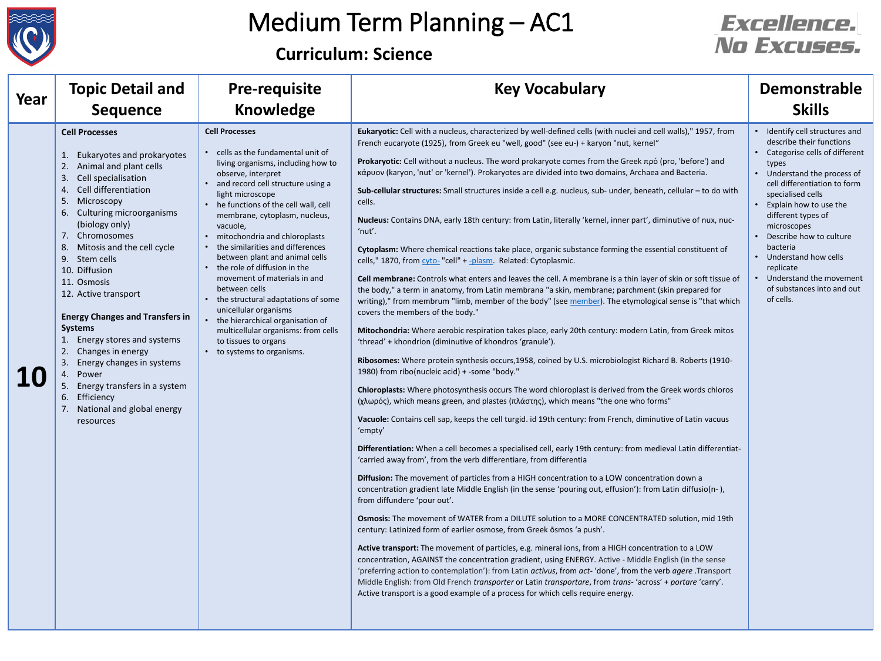

#### **Curriculum: Science**

| Year | <b>Topic Detail and</b><br><b>Sequence</b>                                                                                                                                                                                                                                                                                                                                                                                                                                                                                                                                                                                    | <b>Pre-requisite</b><br><b>Knowledge</b>                                                                                                                                                                                                                                                                                                                                                                                                                                                                                                                                                                                                                                   | <b>Key Vocabulary</b>                                                                                                                                                                                                                                                                                                                                                                                                                                                                                                                                                                                                                                                                                                                                                                                                                                                                                                                                                                                                                                                                                                                                                                                                                                                                                                                                                                                                                                                                                                                                                                                                                                                                                                                                                                                                                                                                                                                                                                                                                                                                                                                                                                                                                                                                                                                                                                                                                                                                                                                                                                                                                                                                                                                                                                                                                                                                                                                                                                                                                           | <b>Demonstrable</b><br><b>Skills</b>                                                                                                                                                                                                                                                                                                                                                                        |
|------|-------------------------------------------------------------------------------------------------------------------------------------------------------------------------------------------------------------------------------------------------------------------------------------------------------------------------------------------------------------------------------------------------------------------------------------------------------------------------------------------------------------------------------------------------------------------------------------------------------------------------------|----------------------------------------------------------------------------------------------------------------------------------------------------------------------------------------------------------------------------------------------------------------------------------------------------------------------------------------------------------------------------------------------------------------------------------------------------------------------------------------------------------------------------------------------------------------------------------------------------------------------------------------------------------------------------|-------------------------------------------------------------------------------------------------------------------------------------------------------------------------------------------------------------------------------------------------------------------------------------------------------------------------------------------------------------------------------------------------------------------------------------------------------------------------------------------------------------------------------------------------------------------------------------------------------------------------------------------------------------------------------------------------------------------------------------------------------------------------------------------------------------------------------------------------------------------------------------------------------------------------------------------------------------------------------------------------------------------------------------------------------------------------------------------------------------------------------------------------------------------------------------------------------------------------------------------------------------------------------------------------------------------------------------------------------------------------------------------------------------------------------------------------------------------------------------------------------------------------------------------------------------------------------------------------------------------------------------------------------------------------------------------------------------------------------------------------------------------------------------------------------------------------------------------------------------------------------------------------------------------------------------------------------------------------------------------------------------------------------------------------------------------------------------------------------------------------------------------------------------------------------------------------------------------------------------------------------------------------------------------------------------------------------------------------------------------------------------------------------------------------------------------------------------------------------------------------------------------------------------------------------------------------------------------------------------------------------------------------------------------------------------------------------------------------------------------------------------------------------------------------------------------------------------------------------------------------------------------------------------------------------------------------------------------------------------------------------------------------------------------------|-------------------------------------------------------------------------------------------------------------------------------------------------------------------------------------------------------------------------------------------------------------------------------------------------------------------------------------------------------------------------------------------------------------|
|      | <b>Cell Processes</b><br>Eukaryotes and prokaryotes<br>1.<br>Animal and plant cells<br>2.<br>Cell specialisation<br>3.<br>Cell differentiation<br>4.<br>5.<br>Microscopy<br>Culturing microorganisms<br>6.<br>(biology only)<br>Chromosomes<br>7.<br>8.<br>Mitosis and the cell cycle<br>9. Stem cells<br>10. Diffusion<br>11. Osmosis<br>12. Active transport<br><b>Energy Changes and Transfers in</b><br><b>Systems</b><br>Energy stores and systems<br>Changes in energy<br>Energy changes in systems<br>3.<br>Power<br>4.<br>Energy transfers in a system<br>Efficiency<br>6.<br>National and global energy<br>resources | <b>Cell Processes</b><br>• cells as the fundamental unit of<br>living organisms, including how to<br>observe, interpret<br>• and record cell structure using a<br>light microscope<br>• he functions of the cell wall, cell<br>membrane, cytoplasm, nucleus,<br>vacuole,<br>• mitochondria and chloroplasts<br>• the similarities and differences<br>between plant and animal cells<br>• the role of diffusion in the<br>movement of materials in and<br>between cells<br>• the structural adaptations of some<br>unicellular organisms<br>• the hierarchical organisation of<br>multicellular organisms: from cells<br>to tissues to organs<br>• to systems to organisms. | Eukaryotic: Cell with a nucleus, characterized by well-defined cells (with nuclei and cell walls)," 1957, from<br>French eucaryote (1925), from Greek eu "well, good" (see eu-) + karyon "nut, kernel"<br>Prokaryotic: Cell without a nucleus. The word prokaryote comes from the Greek πρό (pro, 'before') and<br>κάρυον (karyon, 'nut' or 'kernel'). Prokaryotes are divided into two domains, Archaea and Bacteria.<br>Sub-cellular structures: Small structures inside a cell e.g. nucleus, sub- under, beneath, cellular - to do with<br>cells.<br>Nucleus: Contains DNA, early 18th century: from Latin, literally 'kernel, inner part', diminutive of nux, nuc-<br>'nut'.<br>Cytoplasm: Where chemical reactions take place, organic substance forming the essential constituent of<br>cells," 1870, from cyto-"cell" + -plasm. Related: Cytoplasmic.<br>Cell membrane: Controls what enters and leaves the cell. A membrane is a thin layer of skin or soft tissue of<br>the body," a term in anatomy, from Latin membrana "a skin, membrane; parchment (skin prepared for<br>writing)," from membrum "limb, member of the body" (see member). The etymological sense is "that which<br>covers the members of the body."<br>Mitochondria: Where aerobic respiration takes place, early 20th century: modern Latin, from Greek mitos<br>'thread' + khondrion (diminutive of khondros 'granule').<br>Ribosomes: Where protein synthesis occurs, 1958, coined by U.S. microbiologist Richard B. Roberts (1910-<br>1980) from ribo(nucleic acid) + -some "body."<br>Chloroplasts: Where photosynthesis occurs The word chloroplast is derived from the Greek words chloros<br>(χλωρός), which means green, and plastes (πλάστης), which means "the one who forms"<br>Vacuole: Contains cell sap, keeps the cell turgid. id 19th century: from French, diminutive of Latin vacuus<br>'empty'<br>Differentiation: When a cell becomes a specialised cell, early 19th century: from medieval Latin differentiat-<br>'carried away from', from the verb differentiare, from differentia<br>Diffusion: The movement of particles from a HIGH concentration to a LOW concentration down a<br>concentration gradient late Middle English (in the sense 'pouring out, effusion'): from Latin diffusio(n-),<br>from diffundere 'pour out'.<br>Osmosis: The movement of WATER from a DILUTE solution to a MORE CONCENTRATED solution, mid 19th<br>century: Latinized form of earlier osmose, from Greek ōsmos 'a push'.<br>Active transport: The movement of particles, e.g. mineral ions, from a HIGH concentration to a LOW<br>concentration, AGAINST the concentration gradient, using ENERGY. Active - Middle English (in the sense<br>'preferring action to contemplation'): from Latin activus, from act-'done', from the verb agere .Transport<br>Middle English: from Old French transporter or Latin transportare, from trans-'across' + portare 'carry'.<br>Active transport is a good example of a process for which cells require energy. | • Identify cell structures and<br>describe their functions<br>Categorise cells of different<br>types<br>• Understand the process of<br>cell differentiation to form<br>specialised cells<br>Explain how to use the<br>different types of<br>microscopes<br>Describe how to culture<br>bacteria<br>• Understand how cells<br>replicate<br>Understand the movement<br>of substances into and out<br>of cells. |